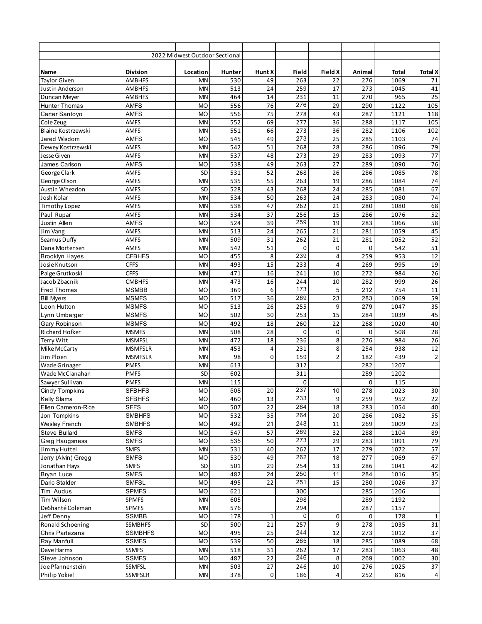|                                    |                                | 2022 Midwest Outdoor Sectional |               |                       |            |                 |            |              |                 |
|------------------------------------|--------------------------------|--------------------------------|---------------|-----------------------|------------|-----------------|------------|--------------|-----------------|
|                                    |                                |                                |               |                       |            |                 |            |              |                 |
| Name                               | <b>Division</b>                | Location                       | <b>Hunter</b> | Hunt X                | Field      | <b>Field X</b>  | Animal     | <b>Total</b> | <b>Total X</b>  |
| <b>Taylor Given</b>                | <b>AMBHFS</b>                  | MN                             | 530           | 49                    | 263        | 22              | 276        | 1069         | 71              |
| Justin Anderson                    | <b>AMBHFS</b>                  | MN                             | 513           | 24                    | 259        | 17              | 273        | 1045         | 41              |
| Duncan Meyer                       | AMBHFS                         | MN                             | 464           | 14                    | 231        | 11              | 270        | 965          | 25              |
| <b>Hunter Thomas</b>               | AMFS                           | <b>MO</b>                      | 556           | 76                    | 276        | 29              | 290        | 1122         | 105             |
| Carter Santoyo                     | AMFS                           | <b>MO</b>                      | 556           | 75                    | 278        | 43              | 287        | 1121         | 118             |
| Cole Zeug                          | <b>AMFS</b>                    | MN                             | 552           | 69                    | 277        | 36              | 288        | 1117         | 105             |
| <b>Blaine Kostrzewski</b>          | <b>AMFS</b>                    | MN                             | 551           | 66                    | 273        | 36              | 282        | 1106         | 102             |
| Jared Wisdom                       | <b>AMFS</b>                    | <b>MO</b>                      | 545           | 49                    | 273        | 25              | 285        | 1103         | 74              |
| Dewey Kostrzewski                  | <b>AMFS</b>                    | MN                             | 542           | 51                    | 268        | 28              | 286        | 1096         | 79              |
| Jesse Given                        | <b>AMFS</b>                    | MN                             | 537           | 48                    | 273        | 29              | 283        | 1093         | $\overline{77}$ |
| James Carlson                      | <b>AMFS</b>                    | <b>MO</b>                      | 538           | 49                    | 263        | 27              | 289        | 1090         | 76              |
| George Clark                       | <b>AMFS</b>                    | SD                             | 531           | 52                    | 268        | 26              | 286        | 1085         | 78              |
| George Olson                       | AMFS                           | MN                             | 535           | 55                    | 263        | 19              | 286        | 1084         | 74              |
| Austin Wheadon                     | <b>AMFS</b>                    | SD                             | 528           | 43                    | 268        | 24              | 285        | 1081         | 67              |
| Josh Kolar                         | <b>AMFS</b>                    | MN                             | 534           | 50                    | 263        | 24              | 283        | 1080         | 74              |
| <b>Timothy Lopez</b>               | <b>AMFS</b>                    | MN                             | 538           | 47                    | 262        | 21              | 280        | 1080         | 68              |
| Paul Rupar                         | <b>AMFS</b>                    | MN                             | 534           | 37                    | 256        | 15              | 286        | 1076         | 52              |
| Justin Allen                       | AMFS                           | <b>MO</b>                      | 524           | 39                    | 259        | 19              | 283        | 1066         | 58              |
| Jim Vang                           | <b>AMFS</b>                    | MN                             | 513           | 24                    | 265        | 21              | 281        | 1059         | 45              |
| Seamus Duffy                       | <b>AMFS</b>                    | MN                             | 509           | 31                    | 262        | 21              | 281        | 1052         | 52              |
| Dana Mortensen                     | <b>AMFS</b>                    | MN                             | 542           | 51                    | 0          | 0               | 0          | 542          | 51              |
| <b>Brooklyn Hayes</b>              | <b>CFBHFS</b>                  | <b>MO</b>                      | 455           | 8                     | 239        | $\overline{4}$  | 259        | 953          | 12              |
| Josie Knutson                      | <b>CFFS</b>                    | MN                             | 493           | 15                    | 233        | $\overline{4}$  | 269        | 995          | 19              |
| Paige Grutkoski                    | <b>CFFS</b>                    | MN                             | 471           | 16                    | 241        | 10              | 272        | 984          | 26              |
| Jacob Zbacnik                      | <b>CMBHFS</b>                  | MN                             | 473           | 16                    | 244        | 10              | 282        | 999          | 26              |
| <b>Fred Thomas</b>                 | <b>MSMBB</b>                   | <b>MO</b>                      | 369           | 6                     | 173        | 5               | 212        | 754          | 11              |
| <b>Bill Myers</b>                  | <b>MSMFS</b>                   | <b>MO</b>                      | 517           | $\overline{36}$       | 269        | $\overline{23}$ | 283        | 1069         | 59              |
| Leon Hutton                        | <b>MSMFS</b>                   | <b>MO</b>                      | 513           | 26                    | 255        | 9               | 279        | 1047         | 35              |
| Lynn Umbarger                      | <b>MSMFS</b>                   | <b>MO</b>                      | 502           | 30                    | 253        | 15              | 284        | 1039         | 45              |
| Gary Robinson                      | <b>MSMFS</b>                   | <b>MO</b>                      | 492           | 18                    | 260        | 22              | 268        | 1020         | 40              |
| Richard Hofker                     | <b>MSMFS</b>                   | MN                             | 508           | 28                    | 0          | 0               | 0          | 508          | 28              |
| <b>Terry Witt</b>                  | <b>MSMFSL</b>                  | MN                             | 472           | 18                    | 236        | 8               | 276        | 984          | 26              |
| Mike McCarty                       | <b>MSMFSLR</b>                 | MN                             | 453           | 4                     | 231        | 8               | 254        | 938          | 12              |
| Jim Ploen                          | <b>MSMFSLR</b>                 | MN                             | 98            | 0                     | 159        | $\overline{2}$  | 182        | 439          | $\overline{2}$  |
| Wade Grinager                      | <b>PMFS</b>                    | MN                             | 613           |                       | 312        |                 | 282        | 1207         |                 |
| Wade McClanahan                    | <b>PMFS</b>                    | <b>SD</b>                      | 602           |                       | 311        |                 | 289        | 1202         |                 |
| Sawyer Sullivan                    | <b>PMFS</b><br><b>SFBHFS</b>   | MN<br><b>MO</b>                | 115<br>508    |                       | 0<br>237   |                 | 0<br>278   | 115<br>1023  |                 |
| Cindy Tompkins                     |                                |                                |               | 20                    |            | 10              |            |              | 30              |
| Kelly Slama                        | <b>SFBHFS</b>                  | <b>MO</b><br><b>MO</b>         | 460<br>507    | 13<br>$\overline{22}$ | 233<br>264 | $9\,$<br>18     | 259        | 952          | 22              |
| Ellen Cameron-Rice<br>Jon Tompkins | <b>SFFS</b>                    |                                |               | 35                    | 264        | 20              | 283        | 1054         | 40              |
| <b>Wesley French</b>               | <b>SMBHFS</b><br><b>SMBHFS</b> | <b>MO</b><br><b>MO</b>         | 532<br>492    | 21                    | 248        | 11              | 286<br>269 | 1082<br>1009 | 55<br>23        |
| <b>Steve Bullard</b>               | <b>SMFS</b>                    | <b>MO</b>                      | 547           | 57                    | 269        | 32              | 288        | 1104         | 89              |
|                                    | <b>SMFS</b>                    |                                |               | 50                    | 273        |                 |            |              |                 |
| Greg Haugsness<br>Jimmy Huttel     | <b>SMFS</b>                    | <b>MO</b><br>MN                | 535<br>531    | 40                    | 262        | 29<br>17        | 283<br>279 | 1091<br>1072 | 79<br>57        |
| Jerry (Alvin) Gregg                | <b>SMFS</b>                    | <b>MO</b>                      | 530           | 49                    | 262        | 18              | 277        | 1069         | 67              |
| Jonathan Hays                      | <b>SMFS</b>                    | SD                             | 501           | 29                    | 254        | 13              | 286        | 1041         | 42              |
| <b>Bryan Luce</b>                  | <b>SMFS</b>                    | <b>MO</b>                      | 482           | 24                    | 250        | 11              | 284        | 1016         | 35              |
| Daric Stalder                      | <b>SMFSL</b>                   | <b>MO</b>                      | 495           | 22                    | 251        | 15              | 280        | 1026         | 37              |
| Tim Audus                          | <b>SPMFS</b>                   | <b>MO</b>                      | 621           |                       | 300        |                 | 285        | 1206         |                 |
| Tim Wilson                         | <b>SPMFS</b>                   | MN                             | 605           |                       | 298        |                 | 289        | 1192         |                 |
| DeShanté Coleman                   | SPMFS                          | MN                             | 576           |                       | 294        |                 | 287        | 1157         |                 |
| Jeff Denny                         | <b>SSMBB</b>                   | <b>MO</b>                      | 178           | $\mathbf{1}$          | 0          | 0               | 0          | 178          | $\mathbf{1}$    |
| Ronald Schoening                   | <b>SSMBHFS</b>                 | SD                             | 500           | $\overline{21}$       | 257        | 9               | 278        | 1035         | 31              |
| Chris Partezana                    | <b>SSMBHFS</b>                 | <b>MO</b>                      | 495           | 25                    | 244        | 12              | 273        | 1012         | 37              |
| Ray Manfull                        | SSMFS                          | <b>MO</b>                      | 539           | 50                    | 265        | 18              | 285        | 1089         | 68              |
| Dave Harms                         | <b>SSMFS</b>                   | MN                             | 518           | 31                    | 262        | 17              | 283        | 1063         | 48              |
| Steve Johnson                      | <b>SSMFS</b>                   | <b>MO</b>                      | 487           | 22                    | 246        | 8               | 269        | 1002         | 30              |
| Joe Pfannenstein                   | SSMFSL                         | MN                             | 503           | 27                    | 246        | 10              | 276        | 1025         | 37              |
| Philip Yokiel                      | SSMFSLR                        | MN                             | 378           | $\mathbf 0$           | 186        | $\overline{4}$  | 252        | 816          | $\overline{4}$  |
|                                    |                                |                                |               |                       |            |                 |            |              |                 |